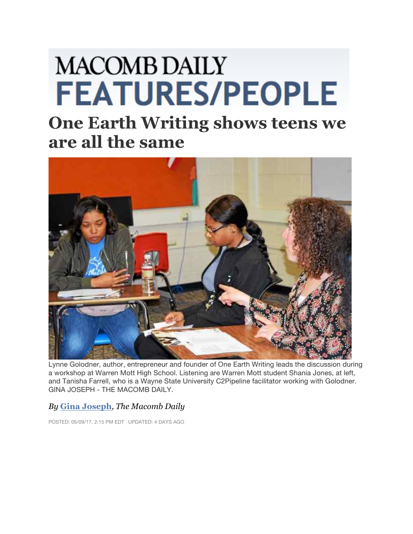## **MACOMB DAILY FEATURES/PEOPLE**

## **One Earth Writing shows teens we are all the same**



Lynne Golodner, author, entrepreneur and founder of One Earth Writing leads the discussion during a workshop at Warren Mott High School. Listening are Warren Mott student Shania Jones, at left, and Tanisha Farrell, who is a Wayne State University C2Pipeline facilitator working with Golodner. GINA JOSEPH - THE MACOMB DAILY.

## *By* **Gina Joseph***, The Macomb Daily*

POSTED: 05/09/17, 2:15 PM EDT | UPDATED: 4 DAYS AGO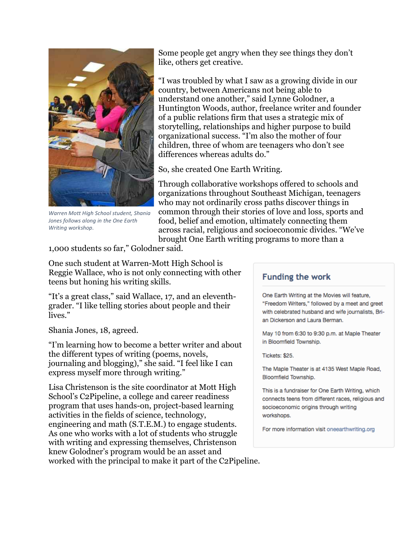

*Warren Mott High School student, Shania Jones follows along in the One Earth Writing workshop.*

Some people get angry when they see things they don't like, others get creative.

"I was troubled by what I saw as a growing divide in our country, between Americans not being able to understand one another," said Lynne Golodner, a Huntington Woods, author, freelance writer and founder of a public relations firm that uses a strategic mix of storytelling, relationships and higher purpose to build organizational success. "I'm also the mother of four children, three of whom are teenagers who don't see differences whereas adults do."

So, she created One Earth Writing.

Through collaborative workshops offered to schools and organizations throughout Southeast Michigan, teenagers who may not ordinarily cross paths discover things in common through their stories of love and loss, sports and food, belief and emotion, ultimately connecting them across racial, religious and socioeconomic divides. "We've brought One Earth writing programs to more than a

1,000 students so far," Golodner said.

One such student at Warren-Mott High School is Reggie Wallace, who is not only connecting with other teens but honing his writing skills.

"It's a great class," said Wallace, 17, and an eleventhgrader. "I like telling stories about people and their lives."

Shania Jones, 18, agreed.

"I'm learning how to become a better writer and about the different types of writing (poems, novels, journaling and blogging)," she said. "I feel like I can express myself more through writing."

Lisa Christenson is the site coordinator at Mott High School's C2Pipeline, a college and career readiness program that uses hands-on, project-based learning activities in the fields of science, technology, engineering and math (S.T.E.M.) to engage students. As one who works with a lot of students who struggle with writing and expressing themselves, Christenson knew Golodner's program would be an asset and worked with the principal to make it part of the C2Pipeline.

## **Funding the work**

One Earth Writing at the Movies will feature, "Freedom Writers," followed by a meet and greet with celebrated husband and wife journalists, Brian Dickerson and Laura Berman.

May 10 from 6:30 to 9:30 p.m. at Maple Theater in Bloomfield Township.

Tickets: \$25.

The Maple Theater is at 4135 West Maple Road. Bloomfield Township.

This is a fundraiser for One Earth Writing, which connects teens from different races, religious and socioeconomic origins through writing workshops.

For more information visit oneearthwriting.org